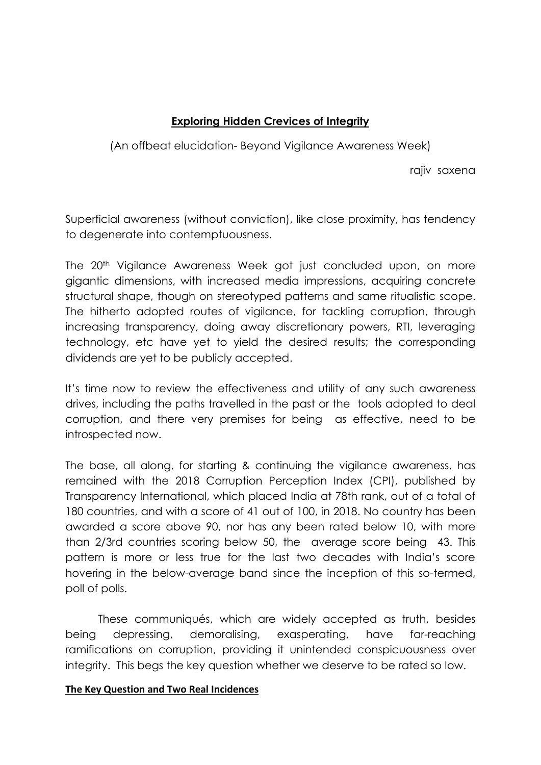# **Exploring Hidden Crevices of Integrity**

(An offbeat elucidation- Beyond Vigilance Awareness Week)

rajiv saxena

Superficial awareness (without conviction), like close proximity, has tendency to degenerate into contemptuousness.

The 20<sup>th</sup> Vigilance Awareness Week got just concluded upon, on more gigantic dimensions, with increased media impressions, acquiring concrete structural shape, though on stereotyped patterns and same ritualistic scope. The hitherto adopted routes of vigilance, for tackling corruption, through increasing transparency, doing away discretionary powers, RTI, leveraging technology, etc have yet to yield the desired results; the corresponding dividends are yet to be publicly accepted.

It's time now to review the effectiveness and utility of any such awareness drives, including the paths travelled in the past or the tools adopted to deal corruption, and there very premises for being as effective, need to be introspected now.

The base, all along, for starting & continuing the vigilance awareness, has remained with the 2018 Corruption Perception Index (CPI), published by Transparency International, which placed India at 78th rank, out of a total of 180 countries, and with a score of 41 out of 100, in 2018. No country has been awarded a score above 90, nor has any been rated below 10, with more than 2/3rd countries scoring below 50, the average score being 43. This pattern is more or less true for the last two decades with India's score hovering in the below-average band since the inception of this so-termed, poll of polls.

These communiqués, which are widely accepted as truth, besides being depressing, demoralising, exasperating, have far-reaching ramifications on corruption, providing it unintended conspicuousness over integrity. This begs the key question whether we deserve to be rated so low.

#### **The Key Question and Two Real Incidences**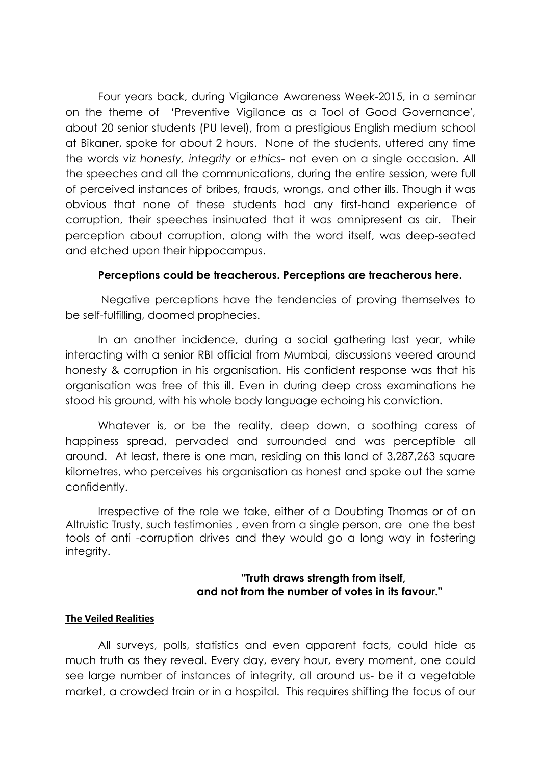Four years back, during Vigilance Awareness Week-2015, in a seminar on the theme of 'Preventive Vigilance as a Tool of Good Governance', about 20 senior students (PU level), from a prestigious English medium school at Bikaner, spoke for about 2 hours. None of the students, uttered any time the words viz *honesty, integrity* or *ethics*- not even on a single occasion. All the speeches and all the communications, during the entire session, were full of perceived instances of bribes, frauds, wrongs, and other ills. Though it was obvious that none of these students had any first-hand experience of corruption, their speeches insinuated that it was omnipresent as air. Their perception about corruption, along with the word itself, was deep-seated and etched upon their hippocampus.

#### **Perceptions could be treacherous. Perceptions are treacherous here.**

Negative perceptions have the tendencies of proving themselves to be self-fulfilling, doomed prophecies.

In an another incidence, during a social gathering last year, while interacting with a senior RBI official from Mumbai, discussions veered around honesty & corruption in his organisation. His confident response was that his organisation was free of this ill. Even in during deep cross examinations he stood his ground, with his whole body language echoing his conviction.

Whatever is, or be the reality, deep down, a soothing caress of happiness spread, pervaded and surrounded and was perceptible all around. At least, there is one man, residing on this land of 3,287,263 square kilometres, who perceives his organisation as honest and spoke out the same confidently.

Irrespective of the role we take, either of a Doubting Thomas or of an Altruistic Trusty, such testimonies , even from a single person, are one the best tools of anti -corruption drives and they would go a long way in fostering intearity.

#### **"Truth draws strength from itself, and not from the number of votes in its favour."**

#### **The Veiled Realities**

All surveys, polls, statistics and even apparent facts, could hide as much truth as they reveal. Every day, every hour, every moment, one could see large number of instances of integrity, all around us- be it a vegetable market, a crowded train or in a hospital. This requires shifting the focus of our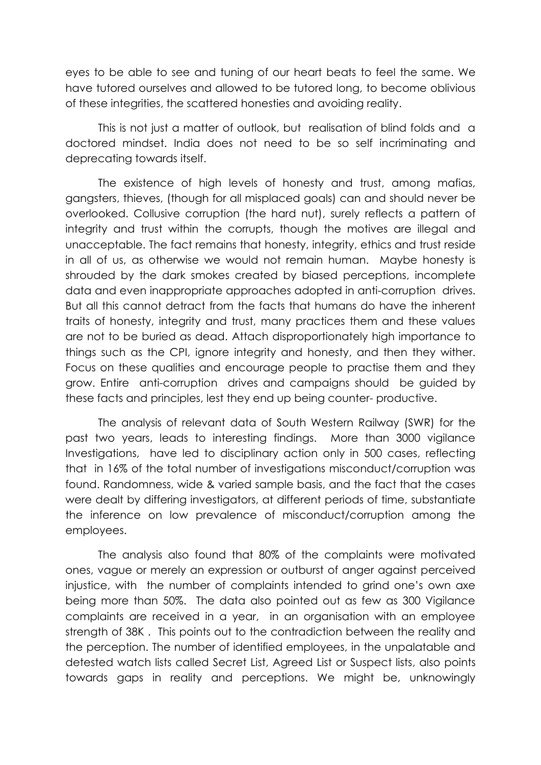eyes to be able to see and tuning of our heart beats to feel the same. We have tutored ourselves and allowed to be tutored long, to become oblivious of these integrities, the scattered honesties and avoiding reality.

This is not just a matter of outlook, but realisation of blind folds and a doctored mindset. India does not need to be so self incriminating and deprecating towards itself.

The existence of high levels of honesty and trust, among mafias, gangsters, thieves, (though for all misplaced goals) can and should never be overlooked. Collusive corruption (the hard nut), surely reflects a pattern of integrity and trust within the corrupts, though the motives are illegal and unacceptable. The fact remains that honesty, integrity, ethics and trust reside in all of us, as otherwise we would not remain human. Maybe honesty is shrouded by the dark smokes created by biased perceptions, incomplete data and even inappropriate approaches adopted in anti-corruption drives. But all this cannot detract from the facts that humans do have the inherent traits of honesty, integrity and trust, many practices them and these values are not to be buried as dead. Attach disproportionately high importance to things such as the CPI, ignore integrity and honesty, and then they wither. Focus on these qualities and encourage people to practise them and they grow. Entire anti-corruption drives and campaigns should be guided by these facts and principles, lest they end up being counter- productive.

The analysis of relevant data of South Western Railway (SWR) for the past two years, leads to interesting findings. More than 3000 vigilance Investigations, have led to disciplinary action only in 500 cases, reflecting that in 16% of the total number of investigations misconduct/corruption was found. Randomness, wide & varied sample basis, and the fact that the cases were dealt by differing investigators, at different periods of time, substantiate the inference on low prevalence of misconduct/corruption among the employees.

The analysis also found that 80% of the complaints were motivated ones, vague or merely an expression or outburst of anger against perceived injustice, with the number of complaints intended to grind one's own axe being more than 50%. The data also pointed out as few as 300 Vigilance complaints are received in a year, in an organisation with an employee strength of 38K . This points out to the contradiction between the reality and the perception. The number of identified employees, in the unpalatable and detested watch lists called Secret List, Agreed List or Suspect lists, also points towards gaps in reality and perceptions. We might be, unknowingly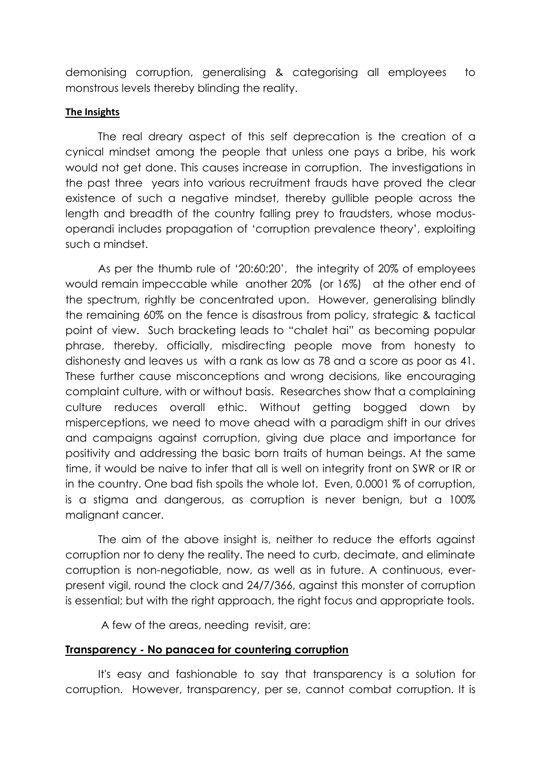demonising corruption, generalising & categorising all employees to monstrous levels thereby blinding the reality.

#### **The Insights**

The real dreary aspect of this self deprecation is the creation of a cynical mindset among the people that unless one pays a bribe, his work would not get done. This causes increase in corruption. The investigations in the past three years into various recruitment frauds have proved the clear existence of such a negative mindset, thereby gullible people across the length and breadth of the country falling prey to fraudsters, whose modusoperandi includes propagation of 'corruption prevalence theory', exploiting such a mindset.

As per the thumb rule of '20:60:20', the integrity of 20% of employees would remain impeccable while another 20% (or 16%) at the other end of the spectrum, rightly be concentrated upon. However, generalising blindly the remaining 60% on the fence is disastrous from policy, strategic & tactical point of view. Such bracketing leads to "chalet hai" as becoming popular phrase, thereby, officially, misdirecting people move from honesty to dishonesty and leaves us with a rank as low as 78 and a score as poor as 41. These further cause misconceptions and wrong decisions, like encouraging complaint culture, with or without basis. Researches show that a complaining culture reduces overall ethic. Without getting bogged down by misperceptions, we need to move ahead with a paradigm shift in our drives and campaigns against corruption, giving due place and importance for positivity and addressing the basic born traits of human beings. At the same time, it would be naive to infer that all is well on integrity front on SWR or IR or in the country. One bad fish spoils the whole lot. Even, 0.0001 % of corruption, is a stigma and dangerous, as corruption is never benign, but a 100% malignant cancer.

The aim of the above insight is, neither to reduce the efforts against corruption nor to deny the reality. The need to curb, decimate, and eliminate corruption is non-negotiable, now, as well as in future. A continuous, everpresent vigil, round the clock and 24/7/366, against this monster of corruption is essential; but with the right approach, the right focus and appropriate tools.

A few of the areas, needing revisit, are:

### **Transparency - No panacea for countering corruption**

It's easy and fashionable to say that transparency is a solution for corruption. However, transparency, per se, cannot combat corruption. It is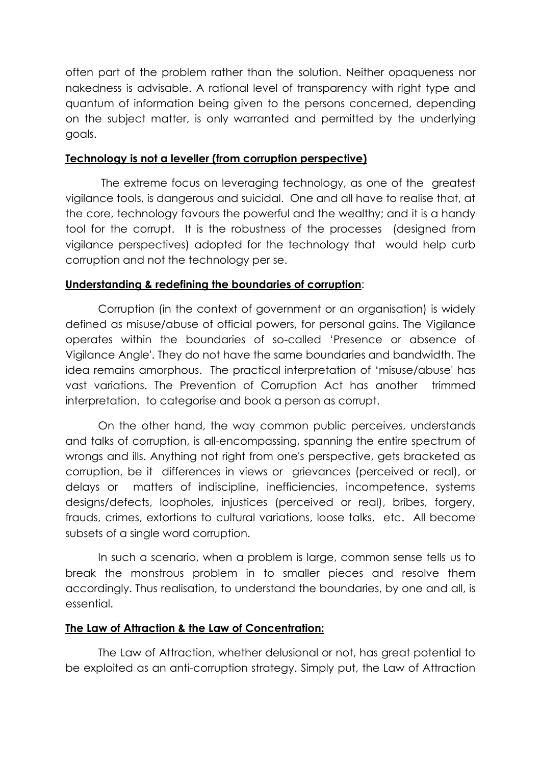often part of the problem rather than the solution. Neither opaqueness nor nakedness is advisable. A rational level of transparency with right type and quantum of information being given to the persons concerned, depending on the subject matter, is only warranted and permitted by the underlying goals.

## **Technology is not a leveller (from corruption perspective)**

The extreme focus on leveraging technology, as one of the greatest vigilance tools, is dangerous and suicidal. One and all have to realise that, at the core, technology favours the powerful and the wealthy; and it is a handy tool for the corrupt. It is the robustness of the processes (designed from vigilance perspectives) adopted for the technology that would help curb corruption and not the technology per se.

## **Understanding & redefining the boundaries of corruption**:

Corruption (in the context of government or an organisation) is widely defined as misuse/abuse of official powers, for personal gains. The Vigilance operates within the boundaries of so-called 'Presence or absence of Vigilance Angle'. They do not have the same boundaries and bandwidth. The idea remains amorphous. The practical interpretation of 'misuse/abuse' has vast variations. The Prevention of Corruption Act has another trimmed interpretation, to categorise and book a person as corrupt.

On the other hand, the way common public perceives, understands and talks of corruption, is all-encompassing, spanning the entire spectrum of wrongs and ills. Anything not right from one's perspective, gets bracketed as corruption, be it differences in views or grievances (perceived or real), or delays or matters of indiscipline, inefficiencies, incompetence, systems designs/defects, loopholes, injustices (perceived or real), bribes, forgery, frauds, crimes, extortions to cultural variations, loose talks, etc. All become subsets of a single word corruption.

In such a scenario, when a problem is large, common sense tells us to break the monstrous problem in to smaller pieces and resolve them accordingly. Thus realisation, to understand the boundaries, by one and all, is essential.

### **The Law of Attraction & the Law of Concentration:**

The Law of Attraction, whether delusional or not, has great potential to be exploited as an anti-corruption strategy. Simply put, the Law of Attraction